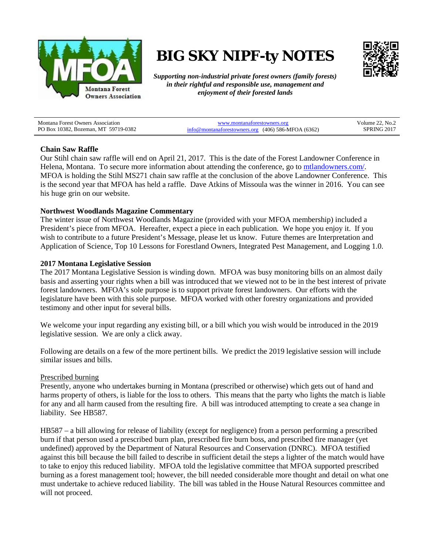

# **BIG SKY NIPF-ty NOTES**



*Supporting non-industrial private forest owners (family forests) in their rightful and responsible use, management and enjoyment of their forested lands*

| <b>Montana Forest Owners Association</b> | www.montanaforestowners.org                           | Volume 22, No.2 |
|------------------------------------------|-------------------------------------------------------|-----------------|
| PO Box 10382, Bozeman, MT 59719-0382     | $info@$ montanaforestowners.org (406) 586-MFOA (6362) | SPRING 2017     |

### **Chain Saw Raffle**

Our Stihl chain saw raffle will end on April 21, 2017. This is the date of the Forest Landowner Conference in Helena, Montana. To secure more information about attending the conference, go to mtlandowners.com/. MFOA is holding the Stihl MS271 chain saw raffle at the conclusion of the above Landowner Conference. This is the second year that MFOA has held a raffle. Dave Atkins of Missoula was the winner in 2016. You can see his huge grin on our website.

### **Northwest Woodlands Magazine Commentary**

The winter issue of Northwest Woodlands Magazine (provided with your MFOA membership) included a President's piece from MFOA. Hereafter, expect a piece in each publication. We hope you enjoy it. If you wish to contribute to a future President's Message, please let us know. Future themes are Interpretation and Application of Science, Top 10 Lessons for Forestland Owners, Integrated Pest Management, and Logging 1.0.

### **2017 Montana Legislative Session**

The 2017 Montana Legislative Session is winding down. MFOA was busy monitoring bills on an almost daily basis and asserting your rights when a bill was introduced that we viewed not to be in the best interest of private forest landowners. MFOA's sole purpose is to support private forest landowners. Our efforts with the legislature have been with this sole purpose. MFOA worked with other forestry organizations and provided testimony and other input for several bills.

We welcome your input regarding any existing bill, or a bill which you wish would be introduced in the 2019 legislative session. We are only a click away.

Following are details on a few of the more pertinent bills. We predict the 2019 legislative session will include similar issues and bills.

#### Prescribed burning

Presently, anyone who undertakes burning in Montana (prescribed or otherwise) which gets out of hand and harms property of others, is liable for the loss to others. This means that the party who lights the match is liable for any and all harm caused from the resulting fire. A bill was introduced attempting to create a sea change in liability. See HB587.

HB587 – a bill allowing for release of liability (except for negligence) from a person performing a prescribed burn if that person used a prescribed burn plan, prescribed fire burn boss, and prescribed fire manager (yet undefined) approved by the Department of Natural Resources and Conservation (DNRC). MFOA testified against this bill because the bill failed to describe in sufficient detail the steps a lighter of the match would have to take to enjoy this reduced liability. MFOA told the legislative committee that MFOA supported prescribed burning as a forest management tool; however, the bill needed considerable more thought and detail on what one must undertake to achieve reduced liability. The bill was tabled in the House Natural Resources committee and will not proceed.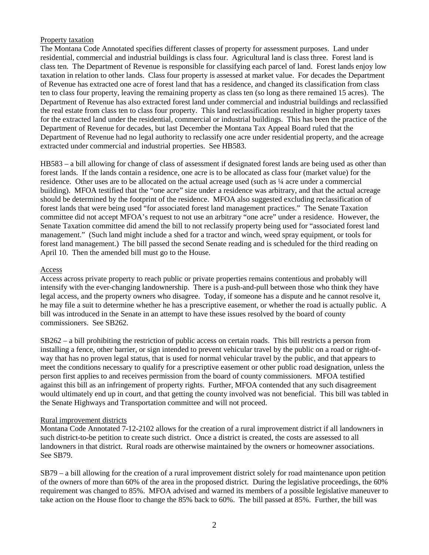## Property taxation

The Montana Code Annotated specifies different classes of property for assessment purposes. Land under residential, commercial and industrial buildings is class four. Agricultural land is class three. Forest land is class ten. The Department of Revenue is responsible for classifying each parcel of land. Forest lands enjoy low taxation in relation to other lands. Class four property is assessed at market value. For decades the Department of Revenue has extracted one acre of forest land that has a residence, and changed its classification from class ten to class four property, leaving the remaining property as class ten (so long as there remained 15 acres). The Department of Revenue has also extracted forest land under commercial and industrial buildings and reclassified the real estate from class ten to class four property. This land reclassification resulted in higher property taxes for the extracted land under the residential, commercial or industrial buildings. This has been the practice of the Department of Revenue for decades, but last December the Montana Tax Appeal Board ruled that the Department of Revenue had no legal authority to reclassify one acre under residential property, and the acreage extracted under commercial and industrial properties. See HB583.

HB583 – a bill allowing for change of class of assessment if designated forest lands are being used as other than forest lands. If the lands contain a residence, one acre is to be allocated as class four (market value) for the residence. Other uses are to be allocated on the actual acreage used (such as ¼ acre under a commercial building). MFOA testified that the "one acre" size under a residence was arbitrary, and that the actual acreage should be determined by the footprint of the residence. MFOA also suggested excluding reclassification of forest lands that were being used "for associated forest land management practices." The Senate Taxation committee did not accept MFOA's request to not use an arbitrary "one acre" under a residence. However, the Senate Taxation committee did amend the bill to not reclassify property being used for "associated forest land management." (Such land might include a shed for a tractor and winch, weed spray equipment, or tools for forest land management.) The bill passed the second Senate reading and is scheduled for the third reading on April 10. Then the amended bill must go to the House.

### Access

Access across private property to reach public or private properties remains contentious and probably will intensify with the ever-changing landownership. There is a push-and-pull between those who think they have legal access, and the property owners who disagree. Today, if someone has a dispute and he cannot resolve it, he may file a suit to determine whether he has a prescriptive easement, or whether the road is actually public. A bill was introduced in the Senate in an attempt to have these issues resolved by the board of county commissioners. See SB262.

SB262 – a bill prohibiting the restriction of public access on certain roads. This bill restricts a person from installing a fence, other barrier, or sign intended to prevent vehicular travel by the public on a road or right-ofway that has no proven legal status, that is used for normal vehicular travel by the public, and that appears to meet the conditions necessary to qualify for a prescriptive easement or other public road designation, unless the person first applies to and receives permission from the board of county commissioners. MFOA testified against this bill as an infringement of property rights. Further, MFOA contended that any such disagreement would ultimately end up in court, and that getting the county involved was not beneficial. This bill was tabled in the Senate Highways and Transportation committee and will not proceed.

#### Rural improvement districts

Montana Code Annotated 7-12-2102 allows for the creation of a rural improvement district if all landowners in such district-to-be petition to create such district. Once a district is created, the costs are assessed to all landowners in that district. Rural roads are otherwise maintained by the owners or homeowner associations. See SB79.

SB79 – a bill allowing for the creation of a rural improvement district solely for road maintenance upon petition of the owners of more than 60% of the area in the proposed district. During the legislative proceedings, the 60% requirement was changed to 85%. MFOA advised and warned its members of a possible legislative maneuver to take action on the House floor to change the 85% back to 60%. The bill passed at 85%. Further, the bill was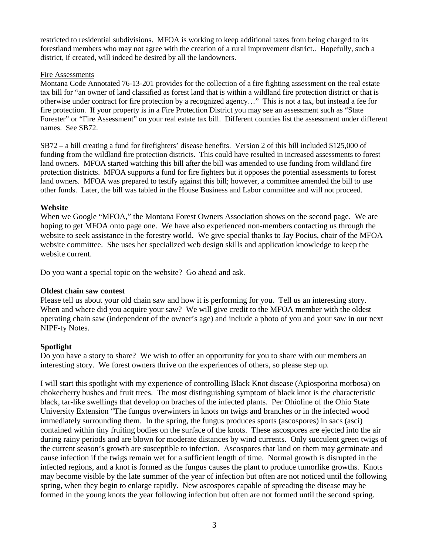restricted to residential subdivisions. MFOA is working to keep additional taxes from being charged to its forestland members who may not agree with the creation of a rural improvement district.. Hopefully, such a district, if created, will indeed be desired by all the landowners.

## Fire Assessments

Montana Code Annotated 76-13-201 provides for the collection of a fire fighting assessment on the real estate tax bill for "an owner of land classified as forest land that is within a wildland fire protection district or that is otherwise under contract for fire protection by a recognized agency…" This is not a tax, but instead a fee for fire protection. If your property is in a Fire Protection District you may see an assessment such as "State Forester" or "Fire Assessment" on your real estate tax bill. Different counties list the assessment under different names. See SB72.

SB72 – a bill creating a fund for firefighters' disease benefits. Version 2 of this bill included \$125,000 of funding from the wildland fire protection districts. This could have resulted in increased assessments to forest land owners. MFOA started watching this bill after the bill was amended to use funding from wildland fire protection districts. MFOA supports a fund for fire fighters but it opposes the potential assessments to forest land owners. MFOA was prepared to testify against this bill; however, a committee amended the bill to use other funds. Later, the bill was tabled in the House Business and Labor committee and will not proceed.

## **Website**

When we Google "MFOA," the Montana Forest Owners Association shows on the second page. We are hoping to get MFOA onto page one. We have also experienced non-members contacting us through the website to seek assistance in the forestry world. We give special thanks to Jay Pocius, chair of the MFOA website committee. She uses her specialized web design skills and application knowledge to keep the website current.

Do you want a special topic on the website? Go ahead and ask.

## **Oldest chain saw contest**

Please tell us about your old chain saw and how it is performing for you. Tell us an interesting story. When and where did you acquire your saw? We will give credit to the MFOA member with the oldest operating chain saw (independent of the owner's age) and include a photo of you and your saw in our next NIPF-ty Notes.

# **Spotlight**

Do you have a story to share? We wish to offer an opportunity for you to share with our members an interesting story. We forest owners thrive on the experiences of others, so please step up.

I will start this spotlight with my experience of controlling Black Knot disease (Apiosporina morbosa) on chokecherry bushes and fruit trees. The most distinguishing symptom of black knot is the characteristic black, tar-like swellings that develop on braches of the infected plants. Per Ohioline of the Ohio State University Extension "The fungus overwinters in knots on twigs and branches or in the infected wood immediately surrounding them. In the spring, the fungus produces sports (ascospores) in sacs (asci) contained within tiny fruiting bodies on the surface of the knots. These ascospores are ejected into the air during rainy periods and are blown for moderate distances by wind currents. Only succulent green twigs of the current season's growth are susceptible to infection. Ascospores that land on them may germinate and cause infection if the twigs remain wet for a sufficient length of time. Normal growth is disrupted in the infected regions, and a knot is formed as the fungus causes the plant to produce tumorlike growths. Knots may become visible by the late summer of the year of infection but often are not noticed until the following spring, when they begin to enlarge rapidly. New ascospores capable of spreading the disease may be formed in the young knots the year following infection but often are not formed until the second spring.